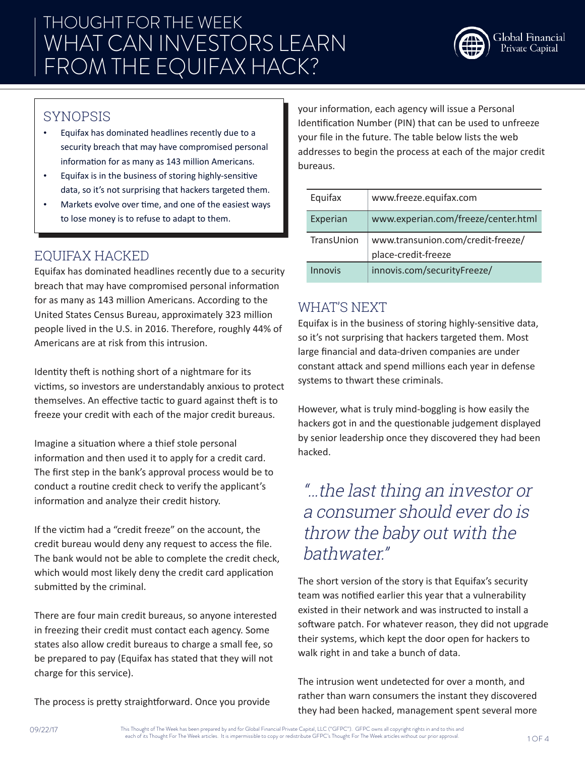

#### SYNOPSIS

- Equifax has dominated headlines recently due to a security breach that may have compromised personal information for as many as 143 million Americans.
- Equifax is in the business of storing highly-sensitive data, so it's not surprising that hackers targeted them.
- Markets evolve over time, and one of the easiest ways to lose money is to refuse to adapt to them.

### EQUIFAX HACKED

Equifax has dominated headlines recently due to a security breach that may have compromised personal information for as many as 143 million Americans. According to the United States Census Bureau, approximately 323 million people lived in the U.S. in 2016. Therefore, roughly 44% of Americans are at risk from this intrusion.

Identity theft is nothing short of a nightmare for its victims, so investors are understandably anxious to protect themselves. An effective tactic to guard against theft is to freeze your credit with each of the major credit bureaus.

Imagine a situation where a thief stole personal information and then used it to apply for a credit card. The first step in the bank's approval process would be to conduct a routine credit check to verify the applicant's information and analyze their credit history.

If the victim had a "credit freeze" on the account, the credit bureau would deny any request to access the file. The bank would not be able to complete the credit check, which would most likely deny the credit card application submitted by the criminal.

There are four main credit bureaus, so anyone interested in freezing their credit must contact each agency. Some states also allow credit bureaus to charge a small fee, so be prepared to pay (Equifax has stated that they will not charge for this service).

The process is pretty straightforward. Once you provide

your information, each agency will issue a Personal Identification Number (PIN) that can be used to unfreeze your file in the future. The table below lists the web addresses to begin the process at each of the major credit bureaus.

| Equifax    | www.freeze.equifax.com                                   |
|------------|----------------------------------------------------------|
| Experian   | www.experian.com/freeze/center.html                      |
| TransUnion | www.transunion.com/credit-freeze/<br>place-credit-freeze |
| Innovis    | innovis.com/securityFreeze/                              |

#### WHAT'S NEXT

Equifax is in the business of storing highly-sensitive data, so it's not surprising that hackers targeted them. Most large financial and data-driven companies are under constant attack and spend millions each year in defense systems to thwart these criminals.

However, what is truly mind-boggling is how easily the hackers got in and the questionable judgement displayed by senior leadership once they discovered they had been hacked.

### "…the last thing an investor or a consumer should ever do is throw the baby out with the bathwater."

The short version of the story is that Equifax's security team was notified earlier this year that a vulnerability existed in their network and was instructed to install a software patch. For whatever reason, they did not upgrade their systems, which kept the door open for hackers to walk right in and take a bunch of data.

The intrusion went undetected for over a month, and rather than warn consumers the instant they discovered they had been hacked, management spent several more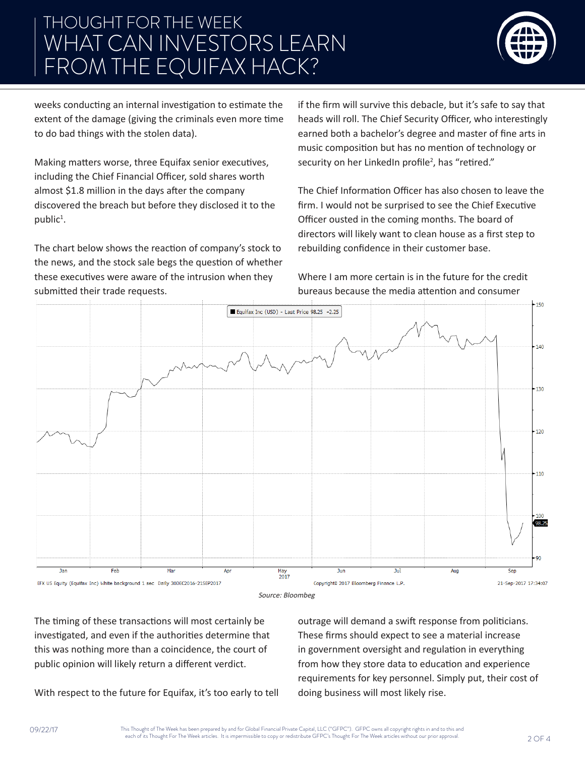# THOUGHT FOR THE WEEK WHAT CAN INVESTORS LEARN FROM THE EQUIFAX HACK?



weeks conducting an internal investigation to estimate the extent of the damage (giving the criminals even more time to do bad things with the stolen data).

Making matters worse, three Equifax senior executives, including the Chief Financial Officer, sold shares worth almost \$1.8 million in the days after the company discovered the breach but before they disclosed it to the public<sup>1</sup>.

The chart below shows the reaction of company's stock to the news, and the stock sale begs the question of whether these executives were aware of the intrusion when they submitted their trade requests.

if the firm will survive this debacle, but it's safe to say that heads will roll. The Chief Security Officer, who interestingly earned both a bachelor's degree and master of fine arts in music composition but has no mention of technology or security on her LinkedIn profile<sup>2</sup>, has "retired."

The Chief Information Officer has also chosen to leave the firm. I would not be surprised to see the Chief Executive Officer ousted in the coming months. The board of directors will likely want to clean house as a first step to rebuilding confidence in their customer base.

Where I am more certain is in the future for the credit bureaus because the media attention and consumer





The timing of these transactions will most certainly be investigated, and even if the authorities determine that this was nothing more than a coincidence, the court of public opinion will likely return a different verdict.

With respect to the future for Equifax, it's too early to tell

outrage will demand a swift response from politicians. These firms should expect to see a material increase in government oversight and regulation in everything from how they store data to education and experience requirements for key personnel. Simply put, their cost of doing business will most likely rise.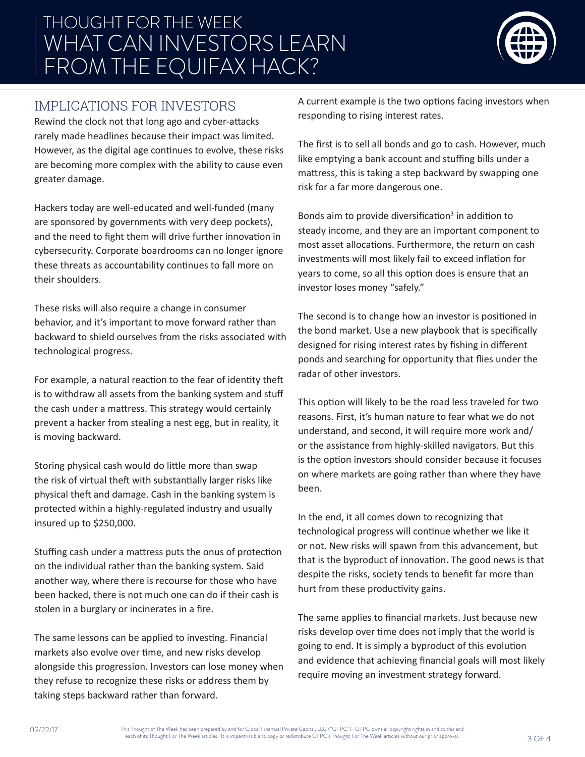# THOUGHT FOR THE WEEK WHAT CAN INVESTORS LEARN FROM THE EQUIFAX HACK?



#### IMPLICATIONS FOR INVESTORS

Rewind the clock not that long ago and cyber-attacks rarely made headlines because their impact was limited. However, as the digital age continues to evolve, these risks are becoming more complex with the ability to cause even greater damage.

Hackers today are well-educated and well-funded (many are sponsored by governments with very deep pockets), and the need to fight them will drive further innovation in cybersecurity. Corporate boardrooms can no longer ignore these threats as accountability continues to fall more on their shoulders.

These risks will also require a change in consumer behavior, and it's important to move forward rather than backward to shield ourselves from the risks associated with technological progress.

For example, a natural reaction to the fear of identity theft is to withdraw all assets from the banking system and stuff the cash under a mattress. This strategy would certainly prevent a hacker from stealing a nest egg, but in reality, it is moving backward.

Storing physical cash would do little more than swap the risk of virtual theft with substantially larger risks like physical theft and damage. Cash in the banking system is protected within a highly-regulated industry and usually insured up to \$250,000.

Stuffing cash under a mattress puts the onus of protection on the individual rather than the banking system. Said another way, where there is recourse for those who have been hacked, there is not much one can do if their cash is stolen in a burglary or incinerates in a fire.

The same lessons can be applied to investing. Financial markets also evolve over time, and new risks develop alongside this progression. Investors can lose money when they refuse to recognize these risks or address them by taking steps backward rather than forward.

A current example is the two options facing investors when responding to rising interest rates.

The first is to sell all bonds and go to cash. However, much like emptying a bank account and stuffing bills under a mattress, this is taking a step backward by swapping one risk for a far more dangerous one.

Bonds aim to provide diversification<sup>3</sup> in addition to steady income, and they are an important component to most asset allocations. Furthermore, the return on cash investments will most likely fail to exceed inflation for years to come, so all this option does is ensure that an investor loses money "safely."

The second is to change how an investor is positioned in the bond market. Use a new playbook that is specifically designed for rising interest rates by fishing in different ponds and searching for opportunity that flies under the radar of other investors.

This option will likely to be the road less traveled for two reasons. First, it's human nature to fear what we do not understand, and second, it will require more work and/ or the assistance from highly-skilled navigators. But this is the option investors should consider because it focuses on where markets are going rather than where they have been.

In the end, it all comes down to recognizing that technological progress will continue whether we like it or not. New risks will spawn from this advancement, but that is the byproduct of innovation. The good news is that despite the risks, society tends to benefit far more than hurt from these productivity gains.

The same applies to financial markets. Just because new risks develop over time does not imply that the world is going to end. It is simply a byproduct of this evolution and evidence that achieving financial goals will most likely require moving an investment strategy forward.